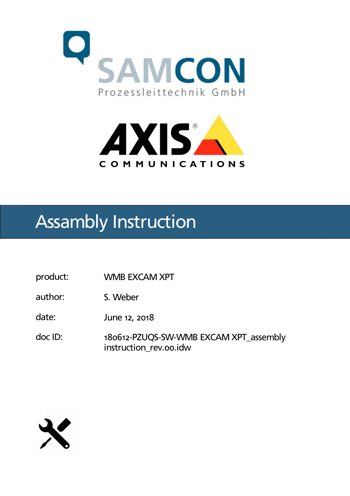



## Assambly Instruction

- product: WMB EXCAM XPT
- author: S. Weber
- date: June 12, 2018
- doc ID: 180612-PZUQS-SW-WMB EXCAM XPT\_assembly instruction\_rev.oo.idw

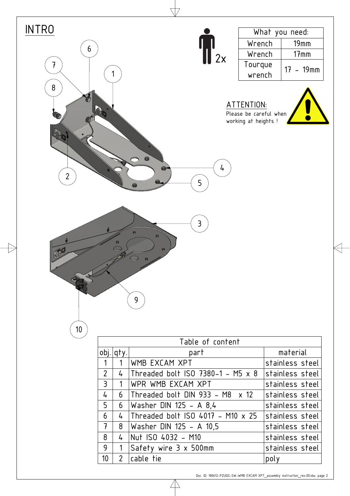| <b>INTRO</b>                      |                |                |                                                                                          |      | What you need:  |
|-----------------------------------|----------------|----------------|------------------------------------------------------------------------------------------|------|-----------------|
|                                   |                |                |                                                                                          |      |                 |
| 6                                 |                |                | Wrench<br>$\int_{2x}^{1}$                                                                |      | $19$ mm         |
|                                   |                |                | Wrench                                                                                   |      | $17$ mm         |
| 7                                 |                |                | Tourque<br>wrench                                                                        |      | $17 - 19$ mm    |
| $\bf 8$<br>4890<br>$\overline{2}$ |                |                | ATTENTION:<br>Please be careful when<br>working at heights !<br>$\bullet$<br>4<br>5<br>8 |      |                 |
| 10 <sup>°</sup>                   |                |                | 3<br>$\Theta$<br>$\bullet$<br>$\Theta$<br>9                                              |      |                 |
|                                   |                |                | Table of content                                                                         |      |                 |
|                                   |                | obj.   qty.    | part                                                                                     |      | material        |
|                                   | 1              | 1              | WMB EXCAM XPT                                                                            |      | stainless steel |
|                                   | $\overline{2}$ | 4              | Threaded bolt ISO 7380-1 - M5 x 8                                                        |      | stainless steel |
|                                   | 3              | 1              | WPR WMB EXCAM XPT                                                                        |      | stainless steel |
|                                   | 4              | 6              | Threaded bolt DIN 933 - M8 $\times$ 12                                                   |      | stainless steel |
|                                   | 5              | 6              | Washer DIN 125 - A $8,4$                                                                 |      | stainless steel |
|                                   | 6              | $\frac{1}{4}$  | Threaded bolt ISO 4017 - M10 $\times$ 25                                                 |      | stainless steel |
|                                   | $\overline{t}$ | 8              | Washer DIN 125 - A 10,5                                                                  |      | stainless steel |
|                                   | 8              | $\frac{1}{4}$  | Nut ISO 4032 - M10                                                                       |      | stainless steel |
|                                   | 9              | 1              | Safety wire 3 x 500mm                                                                    |      | stainless steel |
|                                   | 10             | $\overline{2}$ | cable tie                                                                                | poly |                 |
|                                   |                |                |                                                                                          |      |                 |

 $\triangle$ 

Ѣ

Doc. ID: 180612-PZUQS-SW-WMB EXCAM XPT\_assembly instruction\_rev.00.idw; page 2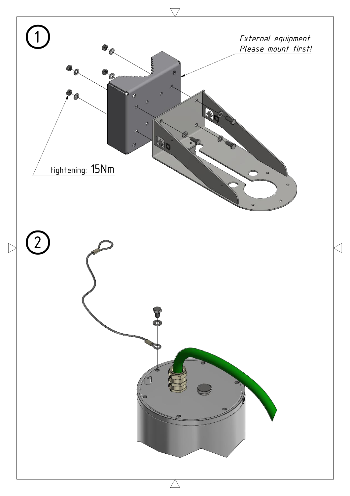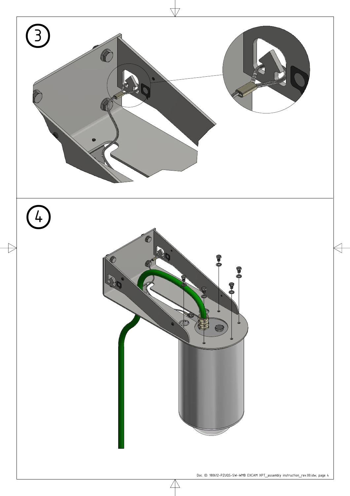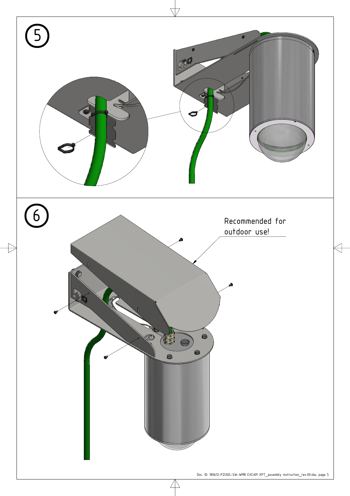